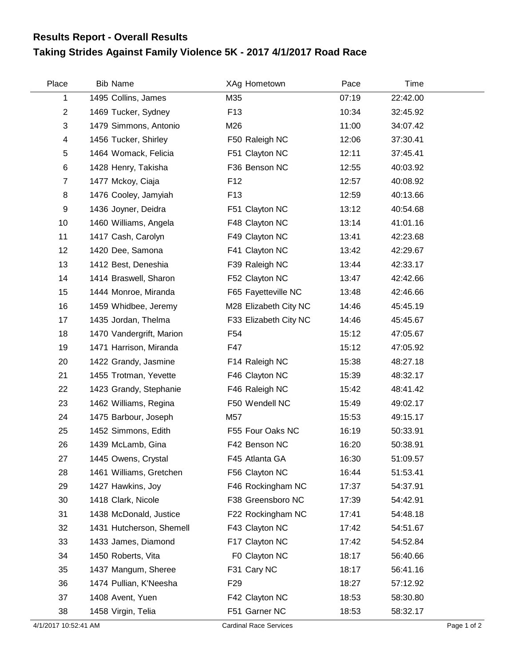## **Taking Strides Against Family Violence 5K - 2017 4/1/2017 Road Race Results Report - Overall Results**

| Place          | <b>Bib Name</b>          | XAg Hometown          | Pace  | Time     |
|----------------|--------------------------|-----------------------|-------|----------|
| 1              | 1495 Collins, James      | M35                   | 07:19 | 22:42.00 |
| $\overline{c}$ | 1469 Tucker, Sydney      | F <sub>13</sub>       | 10:34 | 32:45.92 |
| 3              | 1479 Simmons, Antonio    | M26                   | 11:00 | 34:07.42 |
| 4              | 1456 Tucker, Shirley     | F50 Raleigh NC        | 12:06 | 37:30.41 |
| 5              | 1464 Womack, Felicia     | F51 Clayton NC        | 12:11 | 37:45.41 |
| 6              | 1428 Henry, Takisha      | F36 Benson NC         | 12:55 | 40:03.92 |
| $\overline{7}$ | 1477 Mckoy, Ciaja        | F <sub>12</sub>       | 12:57 | 40:08.92 |
| 8              | 1476 Cooley, Jamyiah     | F <sub>13</sub>       | 12:59 | 40:13.66 |
| 9              | 1436 Joyner, Deidra      | F51 Clayton NC        | 13:12 | 40:54.68 |
| 10             | 1460 Williams, Angela    | F48 Clayton NC        | 13:14 | 41:01.16 |
| 11             | 1417 Cash, Carolyn       | F49 Clayton NC        | 13:41 | 42:23.68 |
| 12             | 1420 Dee, Samona         | F41 Clayton NC        | 13:42 | 42:29.67 |
| 13             | 1412 Best, Deneshia      | F39 Raleigh NC        | 13:44 | 42:33.17 |
| 14             | 1414 Braswell, Sharon    | F52 Clayton NC        | 13:47 | 42:42.66 |
| 15             | 1444 Monroe, Miranda     | F65 Fayetteville NC   | 13:48 | 42:46.66 |
| 16             | 1459 Whidbee, Jeremy     | M28 Elizabeth City NC | 14:46 | 45:45.19 |
| 17             | 1435 Jordan, Thelma      | F33 Elizabeth City NC | 14:46 | 45:45.67 |
| 18             | 1470 Vandergrift, Marion | F <sub>54</sub>       | 15:12 | 47:05.67 |
| 19             | 1471 Harrison, Miranda   | F47                   | 15:12 | 47:05.92 |
| 20             | 1422 Grandy, Jasmine     | F14 Raleigh NC        | 15:38 | 48:27.18 |
| 21             | 1455 Trotman, Yevette    | F46 Clayton NC        | 15:39 | 48:32.17 |
| 22             | 1423 Grandy, Stephanie   | F46 Raleigh NC        | 15:42 | 48:41.42 |
| 23             | 1462 Williams, Regina    | F50 Wendell NC        | 15:49 | 49:02.17 |
| 24             | 1475 Barbour, Joseph     | M57                   | 15:53 | 49:15.17 |
| 25             | 1452 Simmons, Edith      | F55 Four Oaks NC      | 16:19 | 50:33.91 |
| 26             | 1439 McLamb, Gina        | F42 Benson NC         | 16:20 | 50:38.91 |
| 27             | 1445 Owens, Crystal      | F45 Atlanta GA        | 16:30 | 51:09.57 |
| 28             | 1461 Williams, Gretchen  | F56 Clayton NC        | 16:44 | 51:53.41 |
| 29             | 1427 Hawkins, Joy        | F46 Rockingham NC     | 17:37 | 54:37.91 |
| 30             | 1418 Clark, Nicole       | F38 Greensboro NC     | 17:39 | 54:42.91 |
| 31             | 1438 McDonald, Justice   | F22 Rockingham NC     | 17:41 | 54:48.18 |
| 32             | 1431 Hutcherson, Shemell | F43 Clayton NC        | 17:42 | 54:51.67 |
| 33             | 1433 James, Diamond      | F17 Clayton NC        | 17:42 | 54:52.84 |
| 34             | 1450 Roberts, Vita       | F0 Clayton NC         | 18:17 | 56:40.66 |
| 35             | 1437 Mangum, Sheree      | F31 Cary NC           | 18:17 | 56:41.16 |
| 36             | 1474 Pullian, K'Neesha   | F <sub>29</sub>       | 18:27 | 57:12.92 |
| 37             | 1408 Avent, Yuen         | F42 Clayton NC        | 18:53 | 58:30.80 |
| 38             | 1458 Virgin, Telia       | F51 Garner NC         | 18:53 | 58:32.17 |